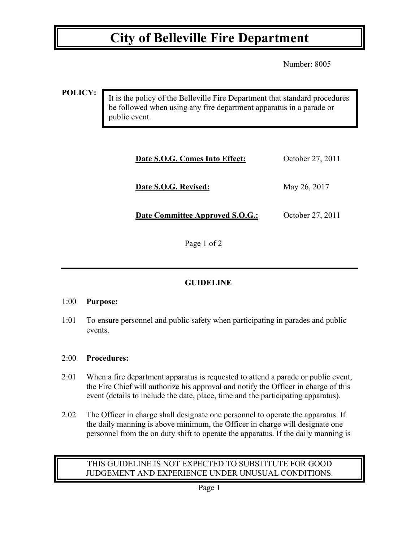## **City of Belleville Fire Department**

Number: 8005

**POLICY:**

It is the policy of the Belleville Fire Department that standard procedures be followed when using any fire department apparatus in a parade or public event.

| Date S.O.G. Comes Into Effect:         | October 27, 2011 |
|----------------------------------------|------------------|
| Date S.O.G. Revised:                   | May 26, 2017     |
| <b>Date Committee Approved S.O.G.:</b> | October 27, 2011 |

Page 1 of 2

### **GUIDELINE**

### 1:00 **Purpose:**

1:01 To ensure personnel and public safety when participating in parades and public events.

### 2:00 **Procedures:**

- 2:01 When a fire department apparatus is requested to attend a parade or public event, the Fire Chief will authorize his approval and notify the Officer in charge of this event (details to include the date, place, time and the participating apparatus).
- 2.02 The Officer in charge shall designate one personnel to operate the apparatus. If the daily manning is above minimum, the Officer in charge will designate one personnel from the on duty shift to operate the apparatus. If the daily manning is

### THIS GUIDELINE IS NOT EXPECTED TO SUBSTITUTE FOR GOOD JUDGEMENT AND EXPERIENCE UNDER UNUSUAL CONDITIONS.